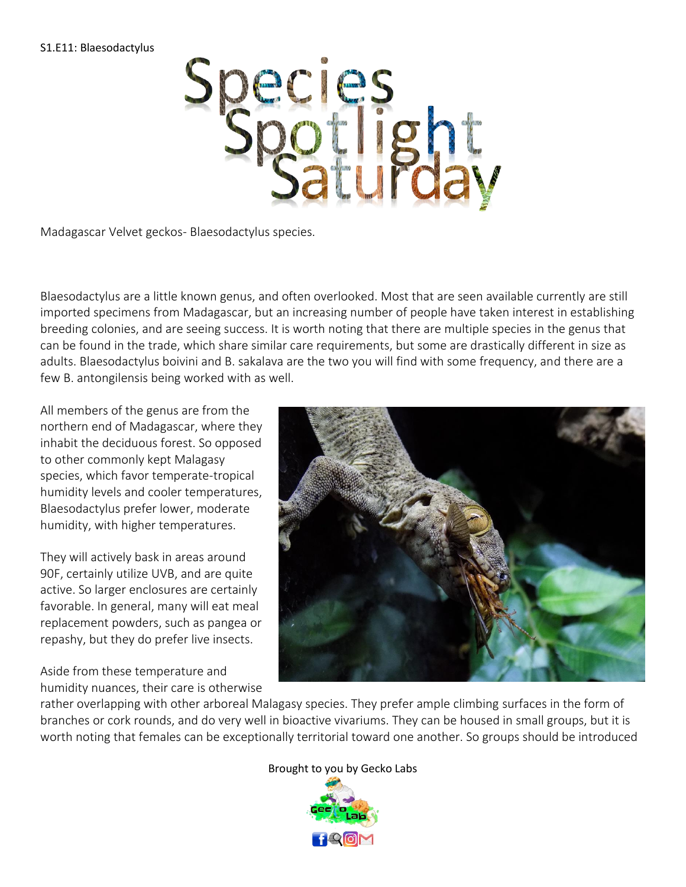## S1.E11: Blaesodactylus



Madagascar Velvet geckos- Blaesodactylus species.

Blaesodactylus are a little known genus, and often overlooked. Most that are seen available currently are still imported specimens from Madagascar, but an increasing number of people have taken interest in establishing breeding colonies, and are seeing success. It is worth noting that there are multiple species in the genus that can be found in the trade, which share similar care requirements, but some are drastically different in size as adults. Blaesodactylus boivini and B. sakalava are the two you will find with some frequency, and there are a few B. antongilensis being worked with as well.

All members of the genus are from the northern end of Madagascar, where they inhabit the deciduous forest. So opposed to other commonly kept Malagasy species, which favor temperate-tropical humidity levels and cooler temperatures, Blaesodactylus prefer lower, moderate humidity, with higher temperatures.

They will actively bask in areas around 90F, certainly utilize UVB, and are quite active. So larger enclosures are certainly favorable. In general, many will eat meal replacement powders, such as pangea or repashy, but they do prefer live insects.

Aside from these temperature and humidity nuances, their care is otherwise



rather overlapping with other arboreal Malagasy species. They prefer ample climbing surfaces in the form of branches or cork rounds, and do very well in bioactive vivariums. They can be housed in small groups, but it is worth noting that females can be exceptionally territorial toward one another. So groups should be introduced

## Brough[t to you by Gec](https://www.geckolaboratory.com)ko Labs